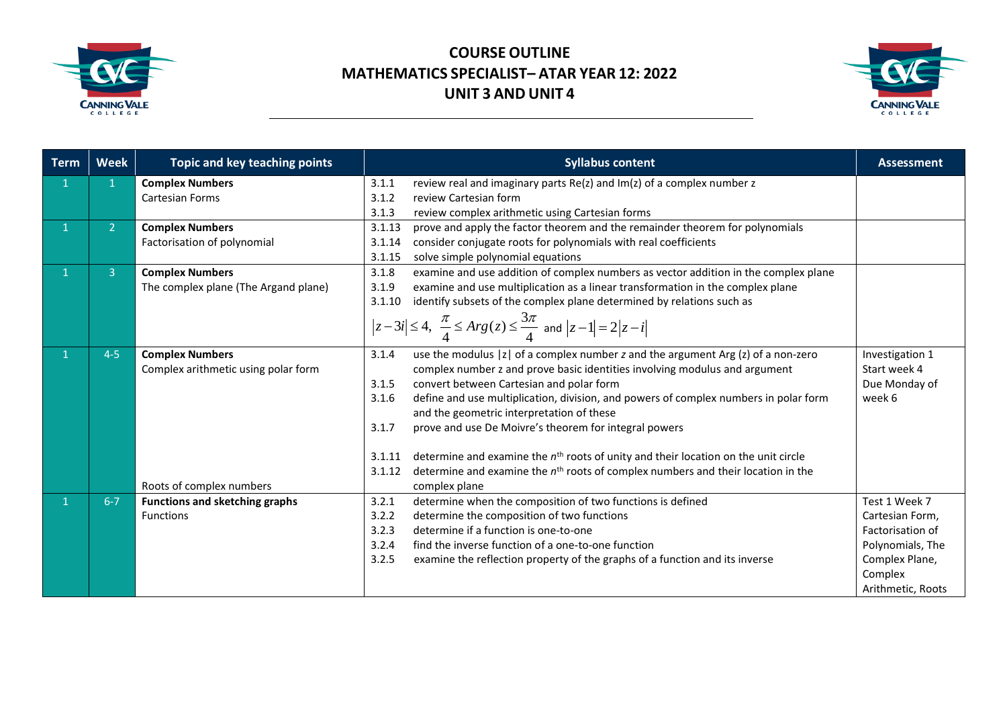



| <b>Term</b>  | <b>Week</b>  | Topic and key teaching points         | <b>Syllabus content</b>                                                                                                 | <b>Assessment</b> |
|--------------|--------------|---------------------------------------|-------------------------------------------------------------------------------------------------------------------------|-------------------|
|              | $\mathbf{1}$ | <b>Complex Numbers</b>                | review real and imaginary parts Re(z) and Im(z) of a complex number z<br>3.1.1                                          |                   |
|              |              | <b>Cartesian Forms</b>                | 3.1.2<br>review Cartesian form                                                                                          |                   |
|              |              |                                       | 3.1.3<br>review complex arithmetic using Cartesian forms                                                                |                   |
| $\mathbf{1}$ | 2            | <b>Complex Numbers</b>                | prove and apply the factor theorem and the remainder theorem for polynomials<br>3.1.13                                  |                   |
|              |              | Factorisation of polynomial           | consider conjugate roots for polynomials with real coefficients<br>3.1.14                                               |                   |
|              |              |                                       | solve simple polynomial equations<br>3.1.15                                                                             |                   |
| $\mathbf{1}$ | 3            | <b>Complex Numbers</b>                | 3.1.8<br>examine and use addition of complex numbers as vector addition in the complex plane                            |                   |
|              |              | The complex plane (The Argand plane)  | examine and use multiplication as a linear transformation in the complex plane<br>3.1.9                                 |                   |
|              |              |                                       | identify subsets of the complex plane determined by relations such as<br>3.1.10                                         |                   |
|              |              |                                       | $ z-3i  \le 4$ , $\frac{\pi}{4} \le Arg(z) \le \frac{3\pi}{4}$ and $ z-1  = 2 z-i $                                     |                   |
|              | $4 - 5$      | <b>Complex Numbers</b>                | use the modulus  z  of a complex number z and the argument $Arg(z)$ of a non-zero<br>3.1.4                              | Investigation 1   |
|              |              | Complex arithmetic using polar form   | complex number z and prove basic identities involving modulus and argument                                              | Start week 4      |
|              |              |                                       | convert between Cartesian and polar form<br>3.1.5                                                                       | Due Monday of     |
|              |              |                                       | define and use multiplication, division, and powers of complex numbers in polar form<br>3.1.6                           | week 6            |
|              |              |                                       | and the geometric interpretation of these                                                                               |                   |
|              |              |                                       | prove and use De Moivre's theorem for integral powers<br>3.1.7                                                          |                   |
|              |              |                                       |                                                                                                                         |                   |
|              |              |                                       | determine and examine the $nth$ roots of unity and their location on the unit circle<br>3.1.11                          |                   |
|              |              | Roots of complex numbers              | 3.1.12<br>determine and examine the n <sup>th</sup> roots of complex numbers and their location in the<br>complex plane |                   |
|              | $6 - 7$      | <b>Functions and sketching graphs</b> | 3.2.1<br>determine when the composition of two functions is defined                                                     | Test 1 Week 7     |
|              |              | <b>Functions</b>                      | determine the composition of two functions<br>3.2.2                                                                     | Cartesian Form,   |
|              |              |                                       | determine if a function is one-to-one<br>3.2.3                                                                          | Factorisation of  |
|              |              |                                       | 3.2.4<br>find the inverse function of a one-to-one function                                                             | Polynomials, The  |
|              |              |                                       | 3.2.5<br>examine the reflection property of the graphs of a function and its inverse                                    | Complex Plane,    |
|              |              |                                       |                                                                                                                         | Complex           |
|              |              |                                       |                                                                                                                         | Arithmetic, Roots |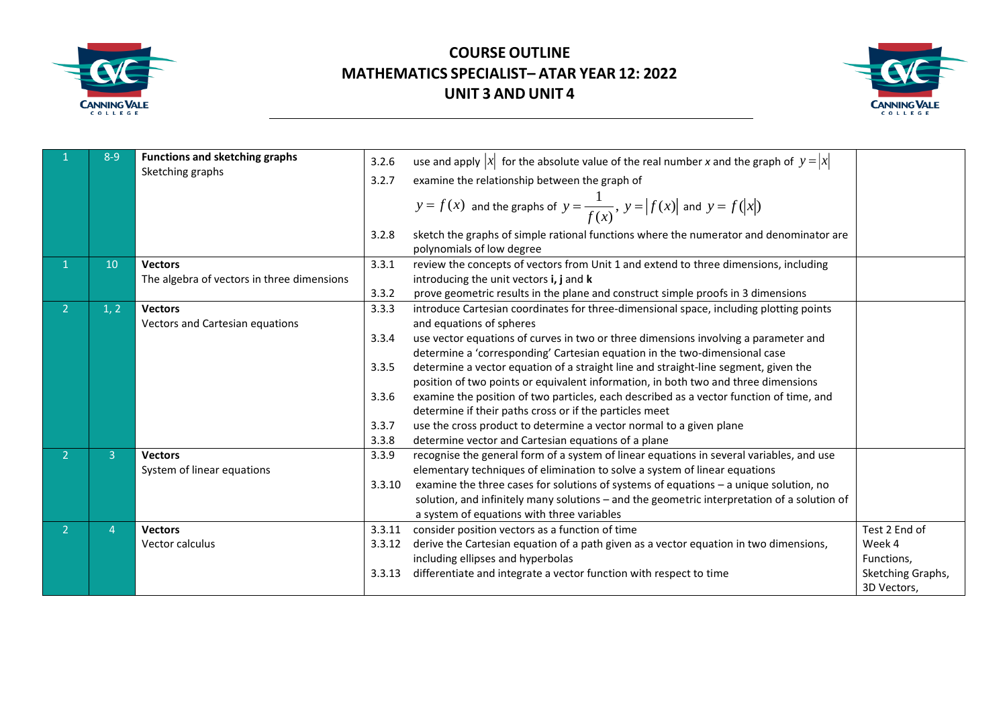



|                | $8 - 9$        | <b>Functions and sketching graphs</b>      | 3.2.6  | use and apply $ x $ for the absolute value of the real number x and the graph of $y =  x $                          |                   |
|----------------|----------------|--------------------------------------------|--------|---------------------------------------------------------------------------------------------------------------------|-------------------|
|                |                | Sketching graphs                           | 3.2.7  | examine the relationship between the graph of                                                                       |                   |
|                |                |                                            |        | $y = f(x)$ and the graphs of $y = \frac{1}{f(x)}$ , $y =  f(x) $ and $y = f( x )$                                   |                   |
|                |                |                                            | 3.2.8  | sketch the graphs of simple rational functions where the numerator and denominator are<br>polynomials of low degree |                   |
|                | 10             | <b>Vectors</b>                             | 3.3.1  | review the concepts of vectors from Unit 1 and extend to three dimensions, including                                |                   |
|                |                | The algebra of vectors in three dimensions |        | introducing the unit vectors i, j and k                                                                             |                   |
|                |                |                                            | 3.3.2  | prove geometric results in the plane and construct simple proofs in 3 dimensions                                    |                   |
| 2 <sup>1</sup> | 1, 2           | <b>Vectors</b>                             | 3.3.3  | introduce Cartesian coordinates for three-dimensional space, including plotting points                              |                   |
|                |                | Vectors and Cartesian equations            |        | and equations of spheres                                                                                            |                   |
|                |                |                                            | 3.3.4  | use vector equations of curves in two or three dimensions involving a parameter and                                 |                   |
|                |                |                                            |        | determine a 'corresponding' Cartesian equation in the two-dimensional case                                          |                   |
|                |                |                                            | 3.3.5  | determine a vector equation of a straight line and straight-line segment, given the                                 |                   |
|                |                |                                            |        | position of two points or equivalent information, in both two and three dimensions                                  |                   |
|                |                |                                            | 3.3.6  | examine the position of two particles, each described as a vector function of time, and                             |                   |
|                |                |                                            |        | determine if their paths cross or if the particles meet                                                             |                   |
|                |                |                                            | 3.3.7  | use the cross product to determine a vector normal to a given plane                                                 |                   |
|                |                |                                            | 3.3.8  | determine vector and Cartesian equations of a plane                                                                 |                   |
|                | 3              | <b>Vectors</b>                             | 3.3.9  | recognise the general form of a system of linear equations in several variables, and use                            |                   |
|                |                | System of linear equations                 |        | elementary techniques of elimination to solve a system of linear equations                                          |                   |
|                |                |                                            | 3.3.10 | examine the three cases for solutions of systems of equations - a unique solution, no                               |                   |
|                |                |                                            |        | solution, and infinitely many solutions - and the geometric interpretation of a solution of                         |                   |
|                |                |                                            |        | a system of equations with three variables                                                                          |                   |
| 2 <sup>1</sup> | $\overline{4}$ | <b>Vectors</b>                             | 3.3.11 | consider position vectors as a function of time                                                                     | Test 2 End of     |
|                |                | Vector calculus                            | 3.3.12 | derive the Cartesian equation of a path given as a vector equation in two dimensions,                               | Week 4            |
|                |                |                                            |        | including ellipses and hyperbolas                                                                                   | Functions,        |
|                |                |                                            | 3.3.13 | differentiate and integrate a vector function with respect to time                                                  | Sketching Graphs, |
|                |                |                                            |        |                                                                                                                     | 3D Vectors,       |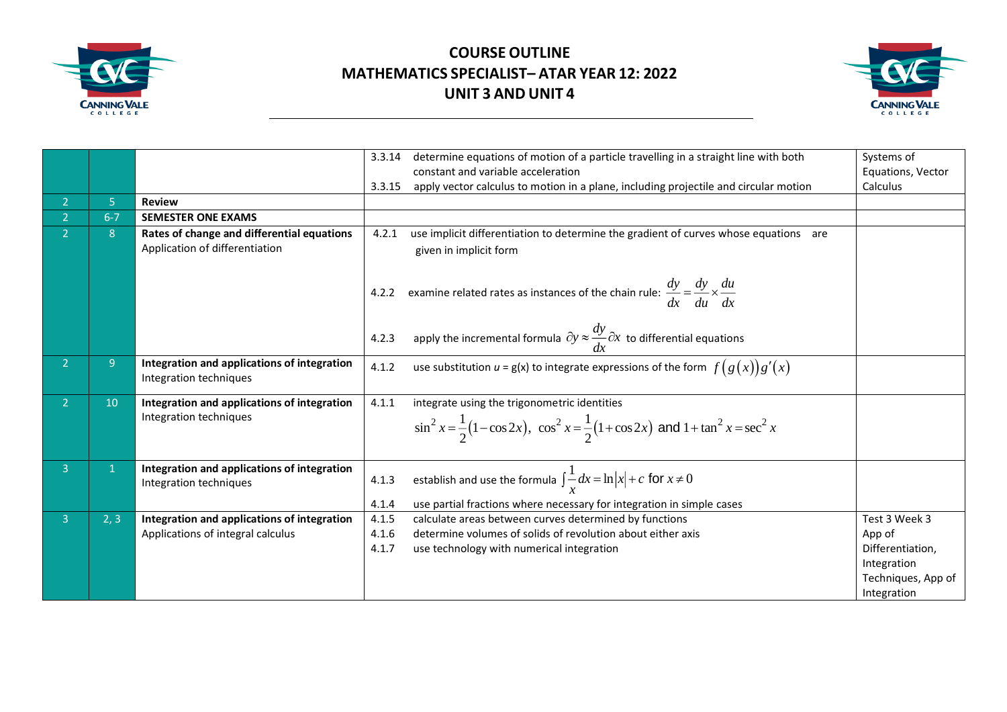



|                |         |                                                                              | 3.3.14 | determine equations of motion of a particle travelling in a straight line with both<br>constant and variable acceleration                             | Systems of<br>Equations, Vector |
|----------------|---------|------------------------------------------------------------------------------|--------|-------------------------------------------------------------------------------------------------------------------------------------------------------|---------------------------------|
|                |         |                                                                              | 3.3.15 | apply vector calculus to motion in a plane, including projectile and circular motion                                                                  | Calculus                        |
| $\overline{2}$ | 5       | <b>Review</b>                                                                |        |                                                                                                                                                       |                                 |
| $\mathcal{P}$  | $6 - 7$ | <b>SEMESTER ONE EXAMS</b>                                                    |        |                                                                                                                                                       |                                 |
|                | 8       | Rates of change and differential equations<br>Application of differentiation | 4.2.1  | use implicit differentiation to determine the gradient of curves whose equations are<br>given in implicit form                                        |                                 |
|                |         |                                                                              | 4.2.2  | examine related rates as instances of the chain rule: $\frac{dy}{dx} = \frac{dy}{du} \times \frac{du}{dx}$                                            |                                 |
|                |         |                                                                              | 4.2.3  | apply the incremental formula $\partial y \approx \frac{dy}{dx} \partial x$ to differential equations                                                 |                                 |
| 2 <sup>1</sup> | 9       | Integration and applications of integration<br>Integration techniques        | 4.1.2  | use substitution $u = g(x)$ to integrate expressions of the form $f(g(x))g'(x)$                                                                       |                                 |
| $\overline{2}$ | 10      | Integration and applications of integration<br>Integration techniques        | 4.1.1  | integrate using the trigonometric identities<br>$\sin^2 x = \frac{1}{2}(1-\cos 2x)$ , $\cos^2 x = \frac{1}{2}(1+\cos 2x)$ and $1+\tan^2 x = \sec^2 x$ |                                 |
| 3 <sup>1</sup> |         | Integration and applications of integration<br>Integration techniques        | 4.1.3  | establish and use the formula $\int \frac{1}{x} dx = \ln  x  + c$ for $x \neq 0$                                                                      |                                 |
|                |         |                                                                              | 4.1.4  | use partial fractions where necessary for integration in simple cases                                                                                 |                                 |
| 3.             | 2, 3    | Integration and applications of integration                                  | 4.1.5  | calculate areas between curves determined by functions                                                                                                | Test 3 Week 3                   |
|                |         | Applications of integral calculus                                            | 4.1.6  | determine volumes of solids of revolution about either axis                                                                                           | App of                          |
|                |         |                                                                              | 4.1.7  | use technology with numerical integration                                                                                                             | Differentiation,                |
|                |         |                                                                              |        |                                                                                                                                                       | Integration                     |
|                |         |                                                                              |        |                                                                                                                                                       | Techniques, App of              |
|                |         |                                                                              |        |                                                                                                                                                       | Integration                     |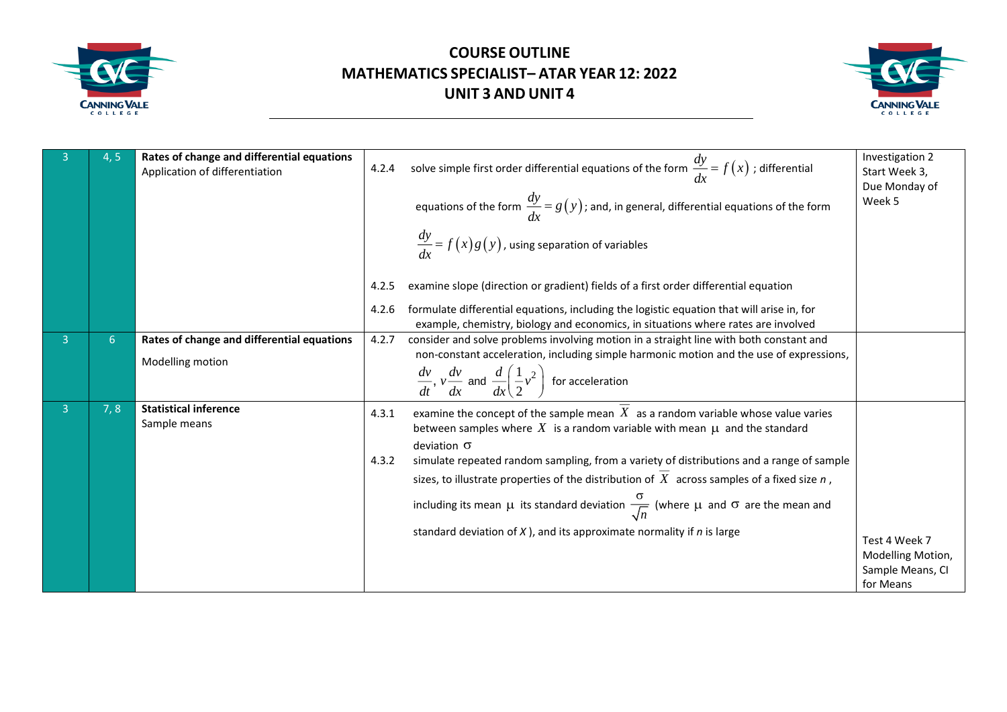



|   | 4,5 | Rates of change and differential equations<br>Application of differentiation | 4.2.4          | solve simple first order differential equations of the form $\frac{dy}{dx} = f(x)$ ; differential<br>equations of the form $\frac{dy}{dx} = g(y)$ ; and, in general, differential equations of the form                                                                                                                                                                                                                                                                                                                                                                                        | Investigation 2<br>Start Week 3,<br>Due Monday of<br>Week 5 |
|---|-----|------------------------------------------------------------------------------|----------------|------------------------------------------------------------------------------------------------------------------------------------------------------------------------------------------------------------------------------------------------------------------------------------------------------------------------------------------------------------------------------------------------------------------------------------------------------------------------------------------------------------------------------------------------------------------------------------------------|-------------------------------------------------------------|
|   |     |                                                                              |                | $\frac{dy}{dx} = f(x)g(y)$ , using separation of variables                                                                                                                                                                                                                                                                                                                                                                                                                                                                                                                                     |                                                             |
|   |     |                                                                              | 4.2.5          | examine slope (direction or gradient) fields of a first order differential equation                                                                                                                                                                                                                                                                                                                                                                                                                                                                                                            |                                                             |
|   |     |                                                                              | 4.2.6          | formulate differential equations, including the logistic equation that will arise in, for<br>example, chemistry, biology and economics, in situations where rates are involved                                                                                                                                                                                                                                                                                                                                                                                                                 |                                                             |
| 3 | 6   | Rates of change and differential equations                                   | 4.2.7          | consider and solve problems involving motion in a straight line with both constant and                                                                                                                                                                                                                                                                                                                                                                                                                                                                                                         |                                                             |
|   |     | Modelling motion                                                             |                | non-constant acceleration, including simple harmonic motion and the use of expressions,<br>$\frac{dv}{dt}$ , $v \frac{dv}{dx}$ and $\frac{d}{dx} \left( \frac{1}{2} v^2 \right)$ for acceleration                                                                                                                                                                                                                                                                                                                                                                                              |                                                             |
| 3 | 7,8 | <b>Statistical inference</b><br>Sample means                                 | 4.3.1<br>4.3.2 | examine the concept of the sample mean $X$ as a random variable whose value varies<br>between samples where X is a random variable with mean $\mu$ and the standard<br>deviation $\sigma$<br>simulate repeated random sampling, from a variety of distributions and a range of sample<br>sizes, to illustrate properties of the distribution of $X$ across samples of a fixed size $n$ ,<br>including its mean $\mu$ its standard deviation $\frac{\sigma}{\sqrt{n}}$ (where $\mu$ and $\sigma$ are the mean and<br>standard deviation of $X$ ), and its approximate normality if $n$ is large | Test 4 Week 7<br>Modelling Motion,                          |
|   |     |                                                                              |                |                                                                                                                                                                                                                                                                                                                                                                                                                                                                                                                                                                                                | Sample Means, CI<br>for Means                               |